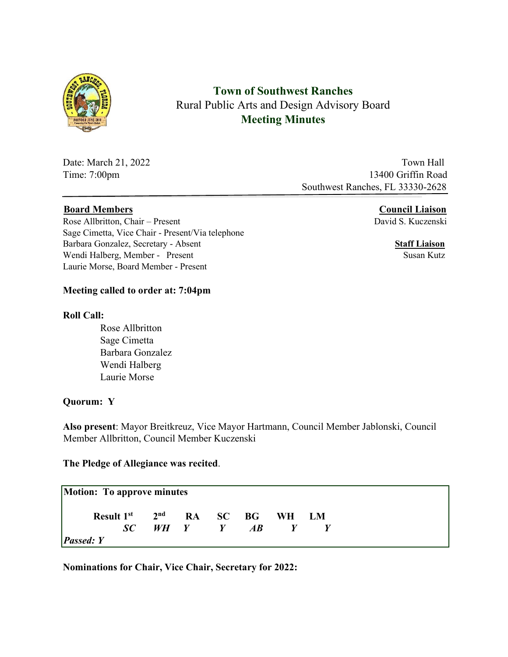

**Town of Southwest Ranches**  Rural Public Arts and Design Advisory Board **Meeting Minutes** 

Date: March 21, 2022 Town Hall Time: 7:00pm 13400 Griffin Road Southwest Ranches, FL 33330-2628

## **Board Members Council Liaison**

Rose Allbritton, Chair – Present David S. Kuczenski Sage Cimetta, Vice Chair - Present/Via telephone Barbara Gonzalez, Secretary - Absent **Staff Liaison** Wendi Halberg, Member - Present Susan Kutz Laurie Morse, Board Member - Present

#### **Meeting called to order at: 7:04pm**

#### **Roll Call:**

 Rose Allbritton Sage Cimetta Barbara Gonzalez Wendi Halberg Laurie Morse

#### **Quorum: Y**

**Also present**: Mayor Breitkreuz, Vice Mayor Hartmann, Council Member Jablonski, Council Member Allbritton, Council Member Kuczenski

#### **The Pledge of Allegiance was recited**.

| Result 1 <sup>st</sup> 2 <sup>nd</sup> RA SC BG WH LM |  |                                       |                  |  |
|-------------------------------------------------------|--|---------------------------------------|------------------|--|
|                                                       |  | $SC$ $WH$ $Y$ $H$ $H$ $H$ $H$ $H$ $H$ | $\boldsymbol{Y}$ |  |

**Nominations for Chair, Vice Chair, Secretary for 2022:**